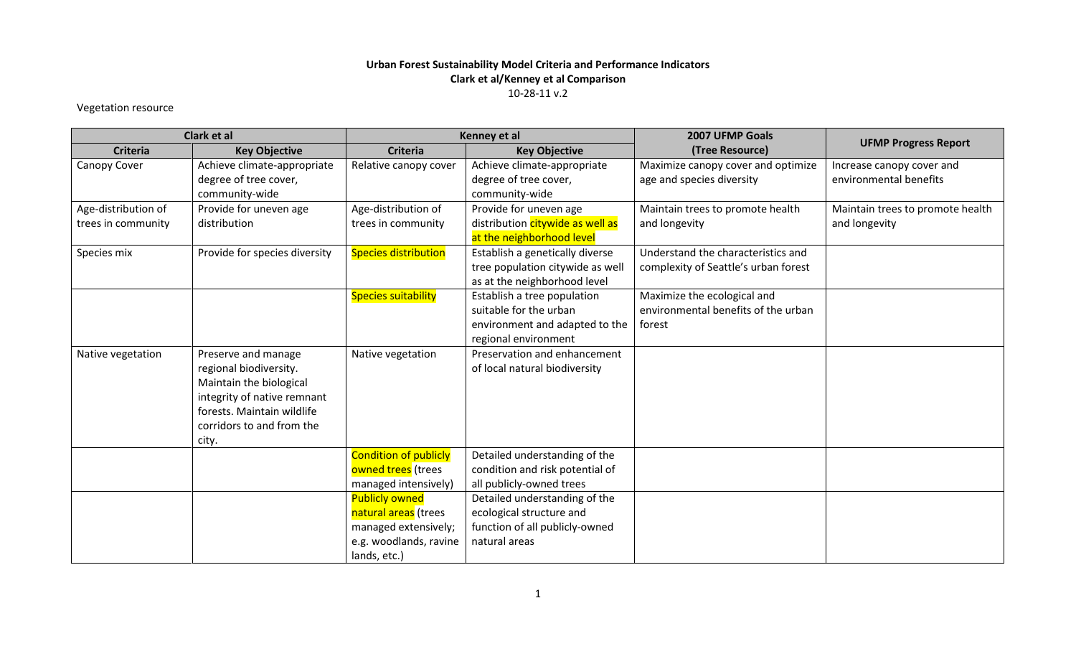## **Urban Forest Sustainability Model Criteria and Performance Indicators Clark et al/Kenney et al Comparison** 10-28-11 v.2

## Vegetation resource

| Clark et al         |                               | Kenney et al                 |                                  | 2007 UFMP Goals                      |                                  |
|---------------------|-------------------------------|------------------------------|----------------------------------|--------------------------------------|----------------------------------|
| <b>Criteria</b>     | <b>Key Objective</b>          | <b>Criteria</b>              | <b>Key Objective</b>             | (Tree Resource)                      | <b>UFMP Progress Report</b>      |
| Canopy Cover        | Achieve climate-appropriate   | Relative canopy cover        | Achieve climate-appropriate      | Maximize canopy cover and optimize   | Increase canopy cover and        |
|                     | degree of tree cover,         |                              | degree of tree cover,            | age and species diversity            | environmental benefits           |
|                     | community-wide                |                              | community-wide                   |                                      |                                  |
| Age-distribution of | Provide for uneven age        | Age-distribution of          | Provide for uneven age           | Maintain trees to promote health     | Maintain trees to promote health |
| trees in community  | distribution                  | trees in community           | distribution citywide as well as | and longevity                        | and longevity                    |
|                     |                               |                              | at the neighborhood level        |                                      |                                  |
| Species mix         | Provide for species diversity | <b>Species distribution</b>  | Establish a genetically diverse  | Understand the characteristics and   |                                  |
|                     |                               |                              | tree population citywide as well | complexity of Seattle's urban forest |                                  |
|                     |                               |                              | as at the neighborhood level     |                                      |                                  |
|                     |                               | <b>Species suitability</b>   | Establish a tree population      | Maximize the ecological and          |                                  |
|                     |                               |                              | suitable for the urban           | environmental benefits of the urban  |                                  |
|                     |                               |                              | environment and adapted to the   | forest                               |                                  |
|                     |                               |                              | regional environment             |                                      |                                  |
| Native vegetation   | Preserve and manage           | Native vegetation            | Preservation and enhancement     |                                      |                                  |
|                     | regional biodiversity.        |                              | of local natural biodiversity    |                                      |                                  |
|                     | Maintain the biological       |                              |                                  |                                      |                                  |
|                     | integrity of native remnant   |                              |                                  |                                      |                                  |
|                     | forests. Maintain wildlife    |                              |                                  |                                      |                                  |
|                     | corridors to and from the     |                              |                                  |                                      |                                  |
|                     | city.                         |                              |                                  |                                      |                                  |
|                     |                               | <b>Condition of publicly</b> | Detailed understanding of the    |                                      |                                  |
|                     |                               | owned trees (trees           | condition and risk potential of  |                                      |                                  |
|                     |                               | managed intensively)         | all publicly-owned trees         |                                      |                                  |
|                     |                               | <b>Publicly owned</b>        | Detailed understanding of the    |                                      |                                  |
|                     |                               | natural areas (trees         | ecological structure and         |                                      |                                  |
|                     |                               | managed extensively;         | function of all publicly-owned   |                                      |                                  |
|                     |                               | e.g. woodlands, ravine       | natural areas                    |                                      |                                  |
|                     |                               | lands, etc.)                 |                                  |                                      |                                  |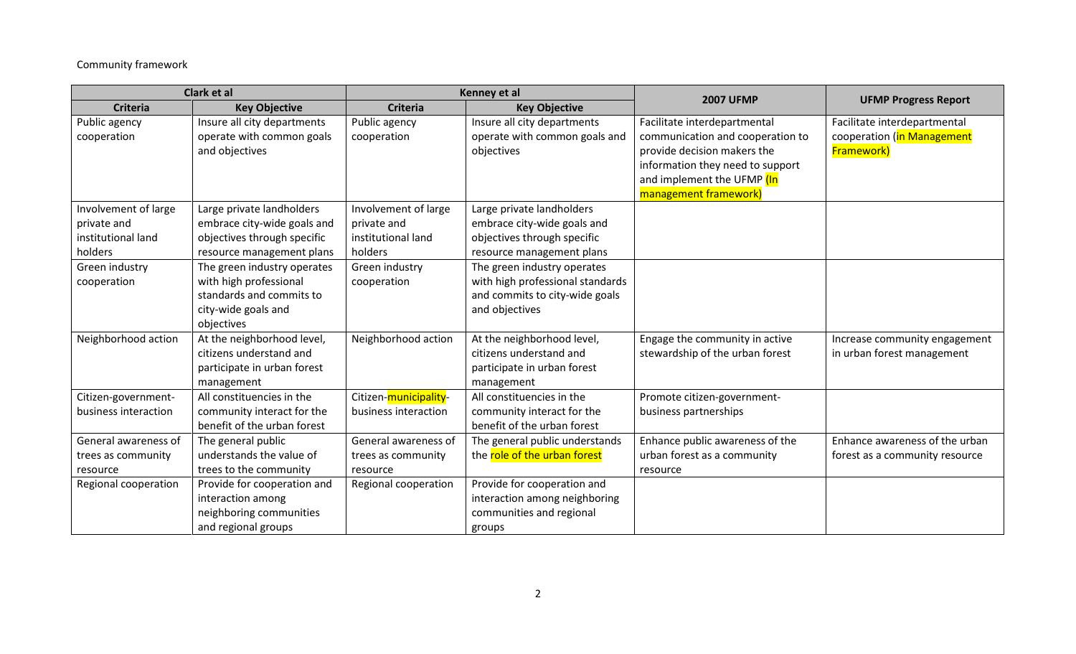## Community framework

| Clark et al          |                             | Kenney et al          |                                  |                                  |                                |
|----------------------|-----------------------------|-----------------------|----------------------------------|----------------------------------|--------------------------------|
| <b>Criteria</b>      | <b>Key Objective</b>        | <b>Criteria</b>       | <b>Key Objective</b>             | <b>2007 UFMP</b>                 | <b>UFMP Progress Report</b>    |
| Public agency        | Insure all city departments | Public agency         | Insure all city departments      | Facilitate interdepartmental     | Facilitate interdepartmental   |
| cooperation          | operate with common goals   | cooperation           | operate with common goals and    | communication and cooperation to | cooperation (in Management     |
|                      | and objectives              |                       | objectives                       | provide decision makers the      | <b>Framework)</b>              |
|                      |                             |                       |                                  | information they need to support |                                |
|                      |                             |                       |                                  | and implement the UFMP (In       |                                |
|                      |                             |                       |                                  | management framework)            |                                |
| Involvement of large | Large private landholders   | Involvement of large  | Large private landholders        |                                  |                                |
| private and          | embrace city-wide goals and | private and           | embrace city-wide goals and      |                                  |                                |
| institutional land   | objectives through specific | institutional land    | objectives through specific      |                                  |                                |
| holders              | resource management plans   | holders               | resource management plans        |                                  |                                |
| Green industry       | The green industry operates | Green industry        | The green industry operates      |                                  |                                |
| cooperation          | with high professional      | cooperation           | with high professional standards |                                  |                                |
|                      | standards and commits to    |                       | and commits to city-wide goals   |                                  |                                |
|                      | city-wide goals and         |                       | and objectives                   |                                  |                                |
|                      | objectives                  |                       |                                  |                                  |                                |
| Neighborhood action  | At the neighborhood level,  | Neighborhood action   | At the neighborhood level,       | Engage the community in active   | Increase community engagement  |
|                      | citizens understand and     |                       | citizens understand and          | stewardship of the urban forest  | in urban forest management     |
|                      | participate in urban forest |                       | participate in urban forest      |                                  |                                |
|                      | management                  |                       | management                       |                                  |                                |
| Citizen-government-  | All constituencies in the   | Citizen-municipality- | All constituencies in the        | Promote citizen-government-      |                                |
| business interaction | community interact for the  | business interaction  | community interact for the       | business partnerships            |                                |
|                      | benefit of the urban forest |                       | benefit of the urban forest      |                                  |                                |
| General awareness of | The general public          | General awareness of  | The general public understands   | Enhance public awareness of the  | Enhance awareness of the urban |
| trees as community   | understands the value of    | trees as community    | the role of the urban forest     | urban forest as a community      | forest as a community resource |
| resource             | trees to the community      | resource              |                                  | resource                         |                                |
| Regional cooperation | Provide for cooperation and | Regional cooperation  | Provide for cooperation and      |                                  |                                |
|                      | interaction among           |                       | interaction among neighboring    |                                  |                                |
|                      | neighboring communities     |                       | communities and regional         |                                  |                                |
|                      | and regional groups         |                       | groups                           |                                  |                                |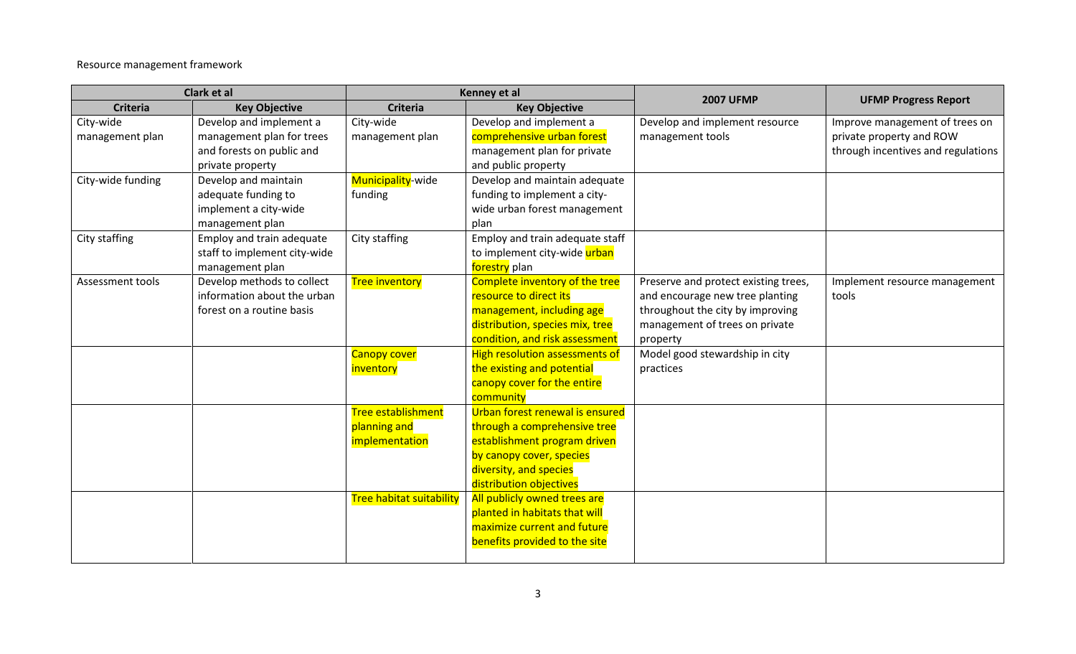Resource management framework

| Clark et al                  |                                                                                                       | Kenney et al                                         |                                                                                                                                                                                  |                                                                                                                                                           |                                                                                                  |
|------------------------------|-------------------------------------------------------------------------------------------------------|------------------------------------------------------|----------------------------------------------------------------------------------------------------------------------------------------------------------------------------------|-----------------------------------------------------------------------------------------------------------------------------------------------------------|--------------------------------------------------------------------------------------------------|
| <b>Criteria</b>              | <b>Key Objective</b>                                                                                  | <b>Criteria</b>                                      | <b>Key Objective</b>                                                                                                                                                             | <b>2007 UFMP</b>                                                                                                                                          | <b>UFMP Progress Report</b>                                                                      |
| City-wide<br>management plan | Develop and implement a<br>management plan for trees<br>and forests on public and<br>private property | City-wide<br>management plan                         | Develop and implement a<br>comprehensive urban forest<br>management plan for private<br>and public property                                                                      | Develop and implement resource<br>management tools                                                                                                        | Improve management of trees on<br>private property and ROW<br>through incentives and regulations |
| City-wide funding            | Develop and maintain<br>adequate funding to<br>implement a city-wide<br>management plan               | Municipality-wide<br>funding                         | Develop and maintain adequate<br>funding to implement a city-<br>wide urban forest management<br>plan                                                                            |                                                                                                                                                           |                                                                                                  |
| City staffing                | Employ and train adequate<br>staff to implement city-wide<br>management plan                          | City staffing                                        | Employ and train adequate staff<br>to implement city-wide urban<br>forestry plan                                                                                                 |                                                                                                                                                           |                                                                                                  |
| Assessment tools             | Develop methods to collect<br>information about the urban<br>forest on a routine basis                | <b>Tree inventory</b>                                | Complete inventory of the tree<br>resource to direct its<br>management, including age<br>distribution, species mix, tree<br>condition, and risk assessment                       | Preserve and protect existing trees,<br>and encourage new tree planting<br>throughout the city by improving<br>management of trees on private<br>property | Implement resource management<br>tools                                                           |
|                              |                                                                                                       | <b>Canopy cover</b><br>inventory                     | <b>High resolution assessments of</b><br>the existing and potential<br>canopy cover for the entire<br>community                                                                  | Model good stewardship in city<br>practices                                                                                                               |                                                                                                  |
|                              |                                                                                                       | Tree establishment<br>planning and<br>implementation | Urban forest renewal is ensured<br>through a comprehensive tree<br>establishment program driven<br>by canopy cover, species<br>diversity, and species<br>distribution objectives |                                                                                                                                                           |                                                                                                  |
|                              |                                                                                                       | <b>Tree habitat suitability</b>                      | All publicly owned trees are<br>planted in habitats that will<br>maximize current and future<br>benefits provided to the site                                                    |                                                                                                                                                           |                                                                                                  |